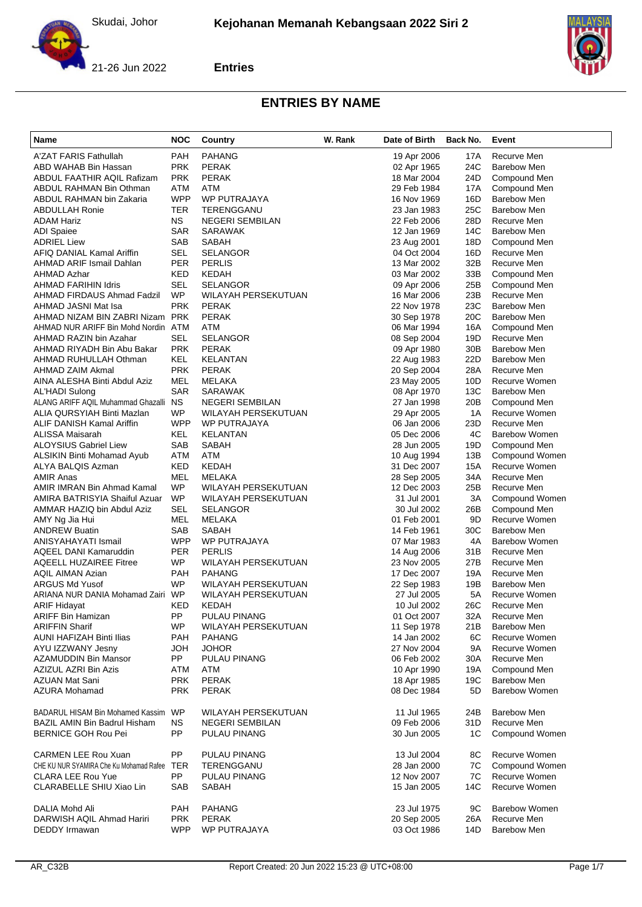





| Name                                                     | <b>NOC</b>              | Country                              | W. Rank | Date of Birth              | Back No.        | Event                        |
|----------------------------------------------------------|-------------------------|--------------------------------------|---------|----------------------------|-----------------|------------------------------|
| A'ZAT FARIS Fathullah                                    | PAH                     | <b>PAHANG</b>                        |         | 19 Apr 2006                | 17A             | Recurve Men                  |
| ABD WAHAB Bin Hassan                                     | <b>PRK</b>              | <b>PERAK</b>                         |         | 02 Apr 1965                | 24C             | <b>Barebow Men</b>           |
| ABDUL FAATHIR AQIL Rafizam                               | <b>PRK</b>              | <b>PERAK</b>                         |         | 18 Mar 2004                | 24D             | Compound Men                 |
| ABDUL RAHMAN Bin Othman                                  | ATM                     | <b>ATM</b>                           |         | 29 Feb 1984                | 17A             | Compound Men                 |
| ABDUL RAHMAN bin Zakaria                                 | <b>WPP</b>              | WP PUTRAJAYA                         |         | 16 Nov 1969                | 16D             | <b>Barebow Men</b>           |
| <b>ABDULLAH Ronie</b>                                    | TER                     | TERENGGANU                           |         | 23 Jan 1983                | 25C             | <b>Barebow Men</b>           |
| <b>ADAM Hariz</b>                                        | NS.                     | <b>NEGERI SEMBILAN</b>               |         | 22 Feb 2006                | 28D             | Recurve Men                  |
| <b>ADI</b> Spaiee                                        | <b>SAR</b>              | <b>SARAWAK</b>                       |         | 12 Jan 1969                | 14C             | <b>Barebow Men</b>           |
| <b>ADRIEL Liew</b>                                       | <b>SAB</b>              | SABAH                                |         | 23 Aug 2001                | 18D             | Compound Men                 |
| AFIQ DANIAL Kamal Ariffin                                | SEL                     | <b>SELANGOR</b>                      |         | 04 Oct 2004                | 16D             | Recurve Men                  |
| AHMAD ARIF Ismail Dahlan                                 | PER                     | <b>PERLIS</b>                        |         | 13 Mar 2002                | 32B             | Recurve Men                  |
| AHMAD Azhar                                              | <b>KED</b>              | KEDAH<br><b>SELANGOR</b>             |         | 03 Mar 2002                | 33B             | Compound Men<br>Compound Men |
| <b>AHMAD FARIHIN Idris</b><br>AHMAD FIRDAUS Ahmad Fadzil | SEL<br><b>WP</b>        | WILAYAH PERSEKUTUAN                  |         | 09 Apr 2006<br>16 Mar 2006 | 25B<br>23B      | Recurve Men                  |
| AHMAD JASNI Mat Isa                                      | <b>PRK</b>              | <b>PERAK</b>                         |         | 22 Nov 1978                | 23C             | <b>Barebow Men</b>           |
| AHMAD NIZAM BIN ZABRI Nizam PRK                          |                         | <b>PERAK</b>                         |         | 30 Sep 1978                | 20C             | <b>Barebow Men</b>           |
| AHMAD NUR ARIFF Bin Mohd Nordin ATM                      |                         | <b>ATM</b>                           |         | 06 Mar 1994                | 16A             | Compound Men                 |
| AHMAD RAZIN bin Azahar                                   | SEL                     | SELANGOR                             |         | 08 Sep 2004                | 19D             | Recurve Men                  |
| AHMAD RIYADH Bin Abu Bakar                               | <b>PRK</b>              | <b>PERAK</b>                         |         | 09 Apr 1980                | 30 <sub>B</sub> | <b>Barebow Men</b>           |
| AHMAD RUHULLAH Othman                                    | KEL                     | KELANTAN                             |         | 22 Aug 1983                | 22D             | <b>Barebow Men</b>           |
| AHMAD ZAIM Akmal                                         | <b>PRK</b>              | <b>PERAK</b>                         |         | 20 Sep 2004                | 28A             | Recurve Men                  |
| AINA ALESHA Binti Abdul Aziz                             | MEL                     | MELAKA                               |         | 23 May 2005                | 10D             | Recurve Women                |
| AL'HADI Sulong                                           | <b>SAR</b>              | SARAWAK                              |         | 08 Apr 1970                | 13C             | <b>Barebow Men</b>           |
| ALANG ARIFF AQIL Muhammad Ghazalli NS                    |                         | <b>NEGERI SEMBILAN</b>               |         | 27 Jan 1998                | 20 <sub>B</sub> | Compound Men                 |
| ALIA QURSYIAH Binti Mazlan                               | WP                      | <b>WILAYAH PERSEKUTUAN</b>           |         | 29 Apr 2005                | 1A              | <b>Recurve Women</b>         |
| ALIF DANISH Kamal Ariffin                                | <b>WPP</b>              | <b>WP PUTRAJAYA</b>                  |         | 06 Jan 2006                | 23D             | Recurve Men                  |
| ALISSA Maisarah                                          | KEL                     | KELANTAN                             |         | 05 Dec 2006                | 4C              | Barebow Women                |
| <b>ALOYSIUS Gabriel Liew</b>                             | SAB                     | SABAH                                |         | 28 Jun 2005                | 19D             | Compound Men                 |
| <b>ALSIKIN Binti Mohamad Ayub</b>                        | <b>ATM</b>              | ATM                                  |         | 10 Aug 1994                | 13B             | Compound Women               |
| ALYA BALQIS Azman                                        | KED                     | <b>KEDAH</b>                         |         | 31 Dec 2007                | 15A             | Recurve Women                |
| <b>AMIR Anas</b>                                         | MEL                     | MELAKA                               |         | 28 Sep 2005                | 34A             | Recurve Men                  |
| AMIR IMRAN Bin Ahmad Kamal                               | <b>WP</b>               | WILAYAH PERSEKUTUAN                  |         | 12 Dec 2003                | 25B             | Recurve Men                  |
| AMIRA BATRISYIA Shaiful Azuar                            | WP                      | WILAYAH PERSEKUTUAN                  |         | 31 Jul 2001                | ЗA              | Compound Women               |
| AMMAR HAZIQ bin Abdul Aziz                               | SEL                     | <b>SELANGOR</b>                      |         | 30 Jul 2002                | 26B             | Compound Men                 |
| AMY Ng Jia Hui                                           | <b>MEL</b>              | MELAKA                               |         | 01 Feb 2001                | 9D              | Recurve Women                |
| <b>ANDREW Buatin</b>                                     | SAB                     | SABAH                                |         | 14 Feb 1961                | 30C             | <b>Barebow Men</b>           |
| ANISYAHAYATI Ismail                                      | <b>WPP</b>              | WP PUTRAJAYA                         |         | 07 Mar 1983                | 4A              | <b>Barebow Women</b>         |
| AQEEL DANI Kamaruddin<br><b>AQEELL HUZAIREE Fitree</b>   | <b>PER</b><br><b>WP</b> | <b>PERLIS</b><br>WILAYAH PERSEKUTUAN |         | 14 Aug 2006<br>23 Nov 2005 | 31B<br>27B      | Recurve Men<br>Recurve Men   |
| <b>AQIL AIMAN Azian</b>                                  | <b>PAH</b>              | <b>PAHANG</b>                        |         | 17 Dec 2007                | 19A             | Recurve Men                  |
| <b>ARGUS Md Yusof</b>                                    | WP                      | WILAYAH PERSEKUTUAN                  |         | 22 Sep 1983                | 19B             | <b>Barebow Men</b>           |
| ARIANA NUR DANIA Mohamad Zairi WP                        |                         | <b>WILAYAH PERSEKUTUAN</b>           |         | 27 Jul 2005                | 5A              | Recurve Women                |
| <b>ARIF Hidayat</b>                                      | KED                     | <b>KEDAH</b>                         |         | 10 Jul 2002                | 26C             | Recurve Men                  |
| ARIFF Bin Hamizan                                        | PP.                     | PULAU PINANG                         |         | 01 Oct 2007                | 32A             | Recurve Men                  |
| <b>ARIFFIN Sharif</b>                                    | <b>WP</b>               | WILAYAH PERSEKUTUAN                  |         | 11 Sep 1978                | 21B             | <b>Barebow Men</b>           |
| <b>AUNI HAFIZAH Binti Ilias</b>                          | <b>PAH</b>              | <b>PAHANG</b>                        |         | 14 Jan 2002                | 6C              | Recurve Women                |
| AYU IZZWANY Jesny                                        | HOL                     | <b>JOHOR</b>                         |         | 27 Nov 2004                | 9Α              | Recurve Women                |
| AZAMUDDIN Bin Mansor                                     | <b>PP</b>               | PULAU PINANG                         |         | 06 Feb 2002                | 30A             | Recurve Men                  |
| AZIZUL AZRI Bin Azis                                     | ATM                     | ATM                                  |         | 10 Apr 1990                | 19A             | Compound Men                 |
| <b>AZUAN Mat Sani</b>                                    | <b>PRK</b>              | <b>PERAK</b>                         |         | 18 Apr 1985                | 19C             | <b>Barebow Men</b>           |
| <b>AZURA Mohamad</b>                                     | <b>PRK</b>              | <b>PERAK</b>                         |         | 08 Dec 1984                | 5D              | <b>Barebow Women</b>         |
| BADARUL HISAM Bin Mohamed Kassim WP                      |                         | WILAYAH PERSEKUTUAN                  |         | 11 Jul 1965                | 24B             | Barebow Men                  |
| <b>BAZIL AMIN Bin Badrul Hisham</b>                      | <b>NS</b>               | <b>NEGERI SEMBILAN</b>               |         | 09 Feb 2006                | 31D             | Recurve Men                  |
| <b>BERNICE GOH Rou Pei</b>                               | PP                      | PULAU PINANG                         |         | 30 Jun 2005                | 1C              | Compound Women               |
| <b>CARMEN LEE Rou Xuan</b>                               | PP                      | PULAU PINANG                         |         | 13 Jul 2004                | 8С              | Recurve Women                |
| CHE KU NUR SYAMIRA Che Ku Mohamad Rafee TER              |                         | TERENGGANU                           |         | 28 Jan 2000                | 7C              | Compound Women               |
| <b>CLARA LEE Rou Yue</b>                                 | <b>PP</b>               | PULAU PINANG                         |         | 12 Nov 2007                | 7C              | Recurve Women                |
| CLARABELLE SHIU Xiao Lin                                 | <b>SAB</b>              | SABAH                                |         | 15 Jan 2005                | 14C             | Recurve Women                |
| DALIA Mohd Ali                                           | PAH                     | <b>PAHANG</b>                        |         | 23 Jul 1975                | 9C              | <b>Barebow Women</b>         |
| DARWISH AQIL Ahmad Hariri                                | <b>PRK</b>              | <b>PERAK</b>                         |         | 20 Sep 2005                | 26A             | Recurve Men                  |
| DEDDY Irmawan                                            | <b>WPP</b>              | WP PUTRAJAYA                         |         | 03 Oct 1986                | 14D             | <b>Barebow Men</b>           |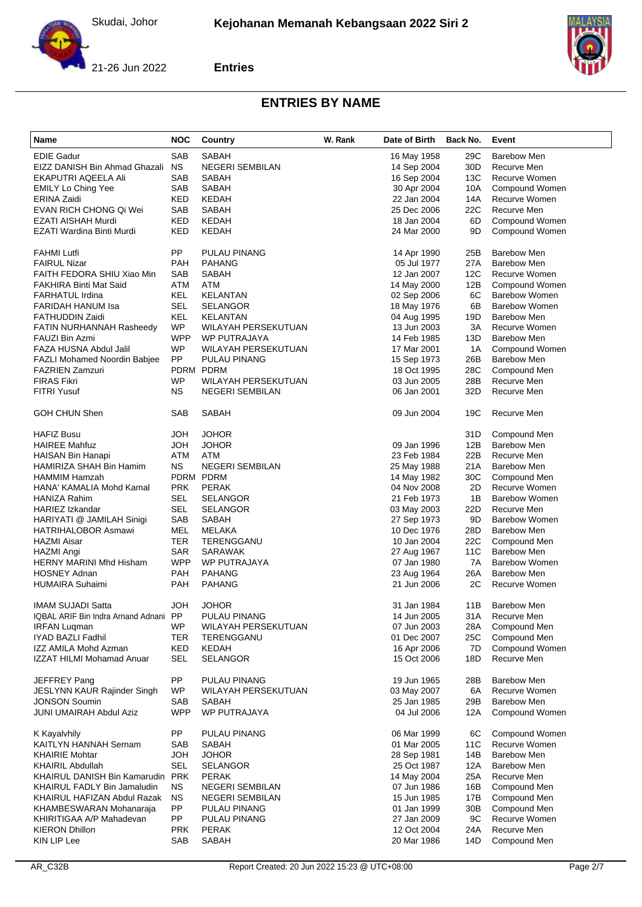

**Entries**



| Name                                                | <b>NOC</b> | Country                | W. Rank | Date of Birth | Back No.        | Event                |
|-----------------------------------------------------|------------|------------------------|---------|---------------|-----------------|----------------------|
| <b>EDIE Gadur</b>                                   | SAB        | SABAH                  |         | 16 May 1958   | 29C             | Barebow Men          |
| EIZZ DANISH Bin Ahmad Ghazali                       | <b>NS</b>  | <b>NEGERI SEMBILAN</b> |         | 14 Sep 2004   | 30 <sub>D</sub> | Recurve Men          |
| EKAPUTRI AQEELA Ali                                 | SAB        | SABAH                  |         | 16 Sep 2004   | 13C             | Recurve Women        |
| <b>EMILY Lo Ching Yee</b>                           | SAB        | SABAH                  |         | 30 Apr 2004   | 10A             | Compound Women       |
| ERINA Zaidi                                         | KED        | <b>KEDAH</b>           |         | 22 Jan 2004   | 14A             | Recurve Women        |
| EVAN RICH CHONG Qi Wei                              | SAB        | SABAH                  |         | 25 Dec 2006   | 22C             | Recurve Men          |
| EZATI AISHAH Murdi                                  | KED        | <b>KEDAH</b>           |         | 18 Jan 2004   | 6D              | Compound Women       |
| EZATI Wardina Binti Murdi                           | KED        | <b>KEDAH</b>           |         | 24 Mar 2000   | 9D              | Compound Women       |
|                                                     |            |                        |         |               |                 |                      |
| FAHMI Lutfi                                         | PP         | PULAU PINANG           |         | 14 Apr 1990   | 25B             | <b>Barebow Men</b>   |
| <b>FAIRUL Nizar</b>                                 | <b>PAH</b> | <b>PAHANG</b>          |         | 05 Jul 1977   | 27A             | <b>Barebow Men</b>   |
| FAITH FEDORA SHIU Xiao Min                          | SAB        | SABAH                  |         | 12 Jan 2007   | 12C             | Recurve Women        |
| FAKHIRA Binti Mat Said                              | ATM        | ATM                    |         | 14 May 2000   | 12B             | Compound Women       |
| FARHATUL Irdina                                     | KEL        | <b>KELANTAN</b>        |         | 02 Sep 2006   | 6C              | <b>Barebow Women</b> |
| FARIDAH HANUM Isa                                   | <b>SEL</b> | <b>SELANGOR</b>        |         | 18 May 1976   | 6B              | <b>Barebow Women</b> |
| FATHUDDIN Zaidi                                     | KEL        | KELANTAN               |         | 04 Aug 1995   | 19D             | <b>Barebow Men</b>   |
| FATIN NURHANNAH Rasheedy                            | WP         | WILAYAH PERSEKUTUAN    |         | 13 Jun 2003   | 3A              | Recurve Women        |
| FAUZI Bin Azmi                                      | <b>WPP</b> | <b>WP PUTRAJAYA</b>    |         | 14 Feb 1985   | 13D             | <b>Barebow Men</b>   |
| FAZA HUSNA Abdul Jalil                              | <b>WP</b>  | WILAYAH PERSEKUTUAN    |         | 17 Mar 2001   | 1A              | Compound Women       |
| FAZLI Mohamed Noordin Babjee                        | PP         | PULAU PINANG           |         | 15 Sep 1973   | 26B             | <b>Barebow Men</b>   |
| FAZRIEN Zamzuri                                     |            | PDRM PDRM              |         | 18 Oct 1995   | 28C             | Compound Men         |
| <b>FIRAS Fikri</b>                                  | <b>WP</b>  | WILAYAH PERSEKUTUAN    |         | 03 Jun 2005   | 28B             | Recurve Men          |
| FITRI Yusuf                                         | NS.        | <b>NEGERI SEMBILAN</b> |         | 06 Jan 2001   | 32D             | Recurve Men          |
|                                                     |            |                        |         |               |                 |                      |
| <b>GOH CHUN Shen</b>                                | SAB        | SABAH                  |         | 09 Jun 2004   | 19C             | Recurve Men          |
| HAFIZ Busu                                          | <b>HOL</b> | <b>JOHOR</b>           |         |               | 31D             | Compound Men         |
| <b>HAIREE Mahfuz</b>                                | HOL        | <b>JOHOR</b>           |         | 09 Jan 1996   | 12B             | <b>Barebow Men</b>   |
| HAISAN Bin Hanapi                                   | ATM        | <b>ATM</b>             |         | 23 Feb 1984   | 22B             | Recurve Men          |
| HAMIRIZA SHAH Bin Hamim                             | <b>NS</b>  | <b>NEGERI SEMBILAN</b> |         | 25 May 1988   | 21A             | <b>Barebow Men</b>   |
| HAMMIM Hamzah                                       |            | PDRM PDRM              |         | 14 May 1982   | 30C             | Compound Men         |
| HANA' KAMALIA Mohd Kamal                            | <b>PRK</b> | <b>PERAK</b>           |         | 04 Nov 2008   | 2D              | Recurve Women        |
| HANIZA Rahim                                        | SEL        | SELANGOR               |         | 21 Feb 1973   | 1B              | <b>Barebow Women</b> |
| HARIEZ Izkandar                                     | <b>SEL</b> | <b>SELANGOR</b>        |         | 03 May 2003   | 22D             | Recurve Men          |
| HARIYATI @ JAMILAH Sinigi                           | SAB        | SABAH                  |         | 27 Sep 1973   | 9D              | <b>Barebow Women</b> |
| HATRIHALOBOR Asmawi                                 | <b>MEL</b> | MELAKA                 |         | 10 Dec 1976   | 28D             | <b>Barebow Men</b>   |
| HAZMI Aisar                                         | TER        | TERENGGANU             |         | 10 Jan 2004   | 22C             | Compound Men         |
| HAZMI Angi                                          | <b>SAR</b> | SARAWAK                |         | 27 Aug 1967   | 11C             | <b>Barebow Men</b>   |
| HERNY MARINI Mhd Hisham                             | <b>WPP</b> | WP PUTRAJAYA           |         | 07 Jan 1980   | 7A              | <b>Barebow Women</b> |
| <b>HOSNEY Adnan</b>                                 | PAH        | PAHANG                 |         | 23 Aug 1964   | 26A             | <b>Barebow Men</b>   |
| HUMAIRA Suhaimi                                     | <b>PAH</b> | <b>PAHANG</b>          |         | 21 Jun 2006   | 2C              | Recurve Women        |
|                                                     |            |                        |         |               |                 |                      |
| <b>IMAM SUJADI Satta</b>                            | HOL        | <b>JOHOR</b>           |         | 31 Jan 1984   | 11B             | <b>Barebow Men</b>   |
| IQBAL ARIF Bin Indra Arnand Adnani PP               |            | PULAU PINANG           |         | 14 Jun 2005   | 31 A            | Recurve Men          |
| <b>IRFAN Luqman</b>                                 | WP         | WILAYAH PERSEKUTUAN    |         | 07 Jun 2003   | 28A             | Compound Men         |
| IYAD BAZLI Fadhil                                   | TER        | TERENGGANU             |         | 01 Dec 2007   | 25C             | Compound Men         |
| IZZ AMILA Mohd Azman                                | KED        | <b>KEDAH</b>           |         | 16 Apr 2006   | 7D              | Compound Women       |
| IZZAT HILMI Mohamad Anuar                           | SEL        | <b>SELANGOR</b>        |         | 15 Oct 2006   | 18D             | Recurve Men          |
| JEFFREY Pang                                        | PP         | PULAU PINANG           |         | 19 Jun 1965   | 28B             | <b>Barebow Men</b>   |
| JESLYNN KAUR Rajinder Singh                         | <b>WP</b>  | WILAYAH PERSEKUTUAN    |         | 03 May 2007   | 6A              | Recurve Women        |
| JONSON Soumin                                       | SAB        | SABAH                  |         | 25 Jan 1985   | 29B             | <b>Barebow Men</b>   |
| JUNI UMAIRAH Abdul Aziz                             | <b>WPP</b> | WP PUTRAJAYA           |         | 04 Jul 2006   | 12A             | Compound Women       |
| K Kayalvhily                                        | PP         | PULAU PINANG           |         | 06 Mar 1999   | 6C              | Compound Women       |
| KAITLYN HANNAH Sernam                               | SAB        | SABAH                  |         | 01 Mar 2005   | 11C             | Recurve Women        |
| <b>KHAIRIE Mohtar</b>                               | <b>HOL</b> | JOHOR                  |         | 28 Sep 1981   | 14B             | <b>Barebow Men</b>   |
| KHAIRIL Abdullah                                    | <b>SEL</b> | SELANGOR               |         | 25 Oct 1987   | 12A             | <b>Barebow Men</b>   |
| KHAIRUL DANISH Bin Kamarudin PRK                    |            | <b>PERAK</b>           |         | 14 May 2004   | 25A             | Recurve Men          |
| KHAIRUL FADLY Bin Jamaludin                         | <b>NS</b>  | NEGERI SEMBILAN        |         | 07 Jun 1986   | 16B             | Compound Men         |
| KHAIRUL HAFIZAN Abdul Razak                         | <b>NS</b>  | <b>NEGERI SEMBILAN</b> |         | 15 Jun 1985   | 17B             | Compound Men         |
|                                                     | PP         | PULAU PINANG           |         | 01 Jan 1999   |                 | Compound Men         |
| KHAMBESWARAN Mohanaraja<br>KHIRITIGAA A/P Mahadevan | PP         | PULAU PINANG           |         | 27 Jan 2009   | 30B<br>9C       | Recurve Women        |
|                                                     |            |                        |         |               |                 |                      |
| <b>KIERON Dhillon</b>                               | <b>PRK</b> | <b>PERAK</b>           |         | 12 Oct 2004   | 24A             | Recurve Men          |
| KIN LIP Lee                                         | SAB        | SABAH                  |         | 20 Mar 1986   | 14D             | Compound Men         |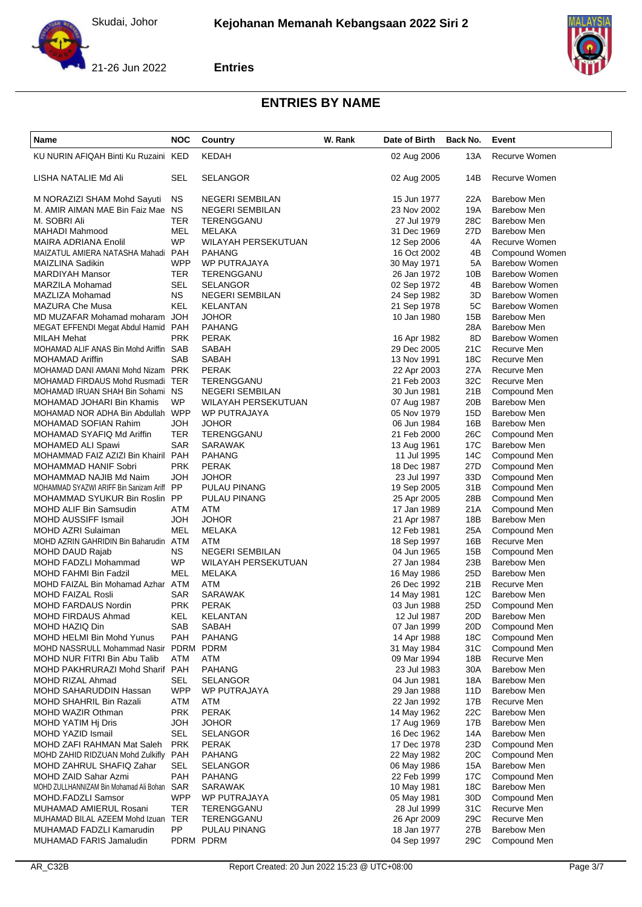

#### **Entries**



| Name                                                                | <b>NOC</b>              | Country                              | W. Rank | Date of Birth              | Back No.   | Event                                      |
|---------------------------------------------------------------------|-------------------------|--------------------------------------|---------|----------------------------|------------|--------------------------------------------|
| KU NURIN AFIQAH Binti Ku Ruzaini KED                                |                         | <b>KEDAH</b>                         |         | 02 Aug 2006                | 13A        | Recurve Women                              |
| LISHA NATALIE Md Ali                                                | <b>SEL</b>              | SELANGOR                             |         | 02 Aug 2005                | 14B        | Recurve Women                              |
| M NORAZIZI SHAM Mohd Sayuti                                         | <b>NS</b>               | <b>NEGERI SEMBILAN</b>               |         | 15 Jun 1977                | 22A        | <b>Barebow Men</b>                         |
| M. AMIR AIMAN MAE Bin Faiz Mae NS                                   |                         | <b>NEGERI SEMBILAN</b>               |         | 23 Nov 2002                | 19A        | <b>Barebow Men</b>                         |
| M. SOBRI Ali                                                        | TER                     | TERENGGANU                           |         | 27 Jul 1979                | 28C        | <b>Barebow Men</b>                         |
| MAHADI Mahmood                                                      | MEL                     | MELAKA                               |         | 31 Dec 1969                | 27D        | <b>Barebow Men</b>                         |
| MAIRA ADRIANA Enolil                                                | <b>WP</b>               | WILAYAH PERSEKUTUAN                  |         | 12 Sep 2006                | 4A         | Recurve Women                              |
| MAIZATUL AMIERA NATASHA Mahadi PAH                                  |                         | PAHANG                               |         | 16 Oct 2002                | 4B         | Compound Women                             |
| MAIZLINA Sadikin                                                    | <b>WPP</b>              | <b>WP PUTRAJAYA</b>                  |         | 30 May 1971                | 5A         | <b>Barebow Women</b>                       |
| MARDIYAH Mansor                                                     | <b>TER</b>              | TERENGGANU                           |         | 26 Jan 1972                | 10B        | <b>Barebow Women</b>                       |
| MARZILA Mohamad                                                     | <b>SEL</b><br><b>NS</b> | <b>SELANGOR</b>                      |         | 02 Sep 1972                | 4B         | <b>Barebow Women</b>                       |
| MAZLIZA Mohamad                                                     | KEL                     | <b>NEGERI SEMBILAN</b>               |         | 24 Sep 1982                | 3D         | <b>Barebow Women</b>                       |
| MAZURA Che Musa<br>MD MUZAFAR Mohamad moharam JOH                   |                         | KELANTAN<br>JOHOR                    |         | 21 Sep 1978<br>10 Jan 1980 | 5C<br>15B  | <b>Barebow Women</b><br><b>Barebow Men</b> |
| MEGAT EFFENDI Megat Abdul Hamid                                     | <b>PAH</b>              | PAHANG                               |         |                            | 28A        | <b>Barebow Men</b>                         |
| MILAH Mehat                                                         | <b>PRK</b>              | PERAK                                |         | 16 Apr 1982                | 8D         | <b>Barebow Women</b>                       |
| MOHAMAD ALIF ANAS Bin Mohd Ariffin SAB                              |                         | SABAH                                |         | 29 Dec 2005                | 21C        | Recurve Men                                |
| <b>MOHAMAD Ariffin</b>                                              | <b>SAB</b>              | SABAH                                |         | 13 Nov 1991                | 18C        | Recurve Men                                |
| MOHAMAD DANI AMANI Mohd Nizam PRK                                   |                         | PERAK                                |         | 22 Apr 2003                | 27A        | Recurve Men                                |
| MOHAMAD FIRDAUS Mohd Rusmadi TER                                    |                         | TERENGGANU                           |         | 21 Feb 2003                | 32C        | Recurve Men                                |
| MOHAMAD IRUAN SHAH Bin Sohami NS                                    |                         | <b>NEGERI SEMBILAN</b>               |         | 30 Jun 1981                | 21B        | Compound Men                               |
| MOHAMAD JOHARI Bin Khamis                                           | WP                      | WILAYAH PERSEKUTUAN                  |         | 07 Aug 1987                | 20B        | <b>Barebow Men</b>                         |
| MOHAMAD NOR ADHA Bin Abdullah WPP                                   |                         | WP PUTRAJAYA                         |         | 05 Nov 1979                | 15D        | <b>Barebow Men</b>                         |
| MOHAMAD SOFIAN Rahim                                                | <b>JOH</b>              | JOHOR                                |         | 06 Jun 1984                | 16B        | <b>Barebow Men</b>                         |
| MOHAMAD SYAFIQ Md Ariffin                                           | <b>TER</b>              | TERENGGANU                           |         | 21 Feb 2000                | 26C        | Compound Men                               |
| MOHAMED ALI Spawi                                                   | <b>SAR</b>              | SARAWAK                              |         | 13 Aug 1961                | 17C        | <b>Barebow Men</b>                         |
| MOHAMMAD FAIZ AZIZI Bin Khairil PAH                                 |                         | PAHANG                               |         | 11 Jul 1995                | 14C        | Compound Men                               |
| MOHAMMAD HANIF Sobri                                                | <b>PRK</b>              | PERAK                                |         | 18 Dec 1987                | 27D        | Compound Men                               |
| MOHAMMAD NAJIB Md Naim                                              | HOL                     | JOHOR                                |         | 23 Jul 1997                | 33D        | Compound Men                               |
| MOHAMMAD SYAZWI ARIFF Bin Sanizam Ariff PP                          |                         | PULAU PINANG                         |         | 19 Sep 2005                | 31B        | Compound Men                               |
| MOHAMMAD SYUKUR Bin Roslin PP                                       |                         | PULAU PINANG                         |         | 25 Apr 2005                | 28B        | Compound Men                               |
| MOHD ALIF Bin Samsudin                                              | ATM                     | ATM                                  |         | 17 Jan 1989                | 21A        | Compound Men                               |
| MOHD AUSSIFF Ismail                                                 | <b>JOH</b>              | JOHOR                                |         | 21 Apr 1987                | 18B        | <b>Barebow Men</b>                         |
| MOHD AZRI Sulaiman                                                  | <b>MEL</b>              | MELAKA                               |         | 12 Feb 1981                | 25A        | Compound Men                               |
| MOHD AZRIN GAHRIDIN Bin Baharudin ATM                               |                         | ATM                                  |         | 18 Sep 1997                | 16B        | Recurve Men                                |
| MOHD DAUD Rajab                                                     | <b>NS</b><br>WP         | <b>NEGERI SEMBILAN</b>               |         | 04 Jun 1965<br>27 Jan 1984 | 15B<br>23B | Compound Men<br><b>Barebow Men</b>         |
| MOHD FADZLI Mohammad<br><b>MOHD FAHMI Bin Fadzil</b>                | MEL                     | WILAYAH PERSEKUTUAN<br><b>MELAKA</b> |         | 16 May 1986                | 25D        | <b>Barebow Men</b>                         |
| MOHD FAIZAL Bin Mohamad Azhar ATM                                   |                         | ATM                                  |         | 26 Dec 1992                | 21B        | Recurve Men                                |
| MOHD FAIZAL Rosli                                                   | <b>SAR</b>              | SARAWAK                              |         | 14 May 1981                | 12C        | <b>Barebow Men</b>                         |
| <b>MOHD FARDAUS Nordin</b>                                          | <b>PRK</b>              | <b>PERAK</b>                         |         | 03 Jun 1988                | 25D        | Compound Men                               |
| MOHD FIRDAUS Ahmad                                                  | KEL                     | KELANTAN                             |         | 12 Jul 1987                | 20D        | Barebow Men                                |
| MOHD HAZIQ Din                                                      | <b>SAB</b>              | SABAH                                |         | 07 Jan 1999                | 20D        | Compound Men                               |
| MOHD HELMI Bin Mohd Yunus                                           | <b>PAH</b>              | PAHANG                               |         | 14 Apr 1988                | 18C        | Compound Men                               |
| MOHD NASSRULL Mohammad Nasir PDRM                                   |                         | PDRM                                 |         | 31 May 1984                | 31C        | Compound Men                               |
| MOHD NUR FITRI Bin Abu Talib                                        | ATM                     | ATM                                  |         | 09 Mar 1994                | 18B        | Recurve Men                                |
| MOHD PAKHRURAZI Mohd Sharif PAH                                     |                         | <b>PAHANG</b>                        |         | 23 Jul 1983                | 30A        | <b>Barebow Men</b>                         |
| MOHD RIZAL Ahmad                                                    | SEL                     | SELANGOR                             |         | 04 Jun 1981                | 18A        | <b>Barebow Men</b>                         |
| MOHD SAHARUDDIN Hassan                                              | <b>WPP</b>              | WP PUTRAJAYA                         |         | 29 Jan 1988                | 11D        | <b>Barebow Men</b>                         |
| MOHD SHAHRIL Bin Razali                                             | ATM                     | ATM                                  |         | 22 Jan 1992                | 17B        | Recurve Men                                |
| MOHD WAZIR Othman                                                   | <b>PRK</b>              | <b>PERAK</b>                         |         | 14 May 1962                | 22C        | <b>Barebow Men</b>                         |
| MOHD YATIM Hj Dris                                                  | <b>HOL</b>              | <b>JOHOR</b>                         |         | 17 Aug 1969                | 17B        | <b>Barebow Men</b>                         |
| MOHD YAZID Ismail                                                   | SEL                     | SELANGOR                             |         | 16 Dec 1962                | 14A        | <b>Barebow Men</b>                         |
| MOHD ZAFI RAHMAN Mat Saleh                                          | <b>PRK</b>              | PERAK                                |         | 17 Dec 1978                | 23D        | Compound Men                               |
| MOHD ZAHID RIDZUAN Mohd Zulkifly PAH                                |                         | PAHANG                               |         | 22 May 1982                | 20C        | Compound Men                               |
| MOHD ZAHRUL SHAFIQ Zahar                                            | SEL                     | SELANGOR                             |         | 06 May 1986                | 15A        | <b>Barebow Men</b>                         |
| MOHD ZAID Sahar Azmi<br>MOHD ZULLHANNIZAM Bin Mohamad Ali Bohan SAR | PAH                     | PAHANG                               |         | 22 Feb 1999                | 17C        | Compound Men<br><b>Barebow Men</b>         |
| MOHD.FADZLI Samsor                                                  | <b>WPP</b>              | SARAWAK<br>WP PUTRAJAYA              |         | 10 May 1981<br>05 May 1981 | 18C<br>30D | Compound Men                               |
| MUHAMAD AMIERUL Rosani                                              | TER                     | TERENGGANU                           |         | 28 Jul 1999                | 31C        | Recurve Men                                |
| MUHAMAD BILAL AZEEM Mohd Izuan TER                                  |                         | TERENGGANU                           |         | 26 Apr 2009                | 29C        | Recurve Men                                |
| MUHAMAD FADZLI Kamarudin                                            | PP                      | PULAU PINANG                         |         | 18 Jan 1977                | 27B        | <b>Barebow Men</b>                         |
| MUHAMAD FARIS Jamaludin                                             |                         | PDRM PDRM                            |         | 04 Sep 1997                | 29C        | Compound Men                               |
|                                                                     |                         |                                      |         |                            |            |                                            |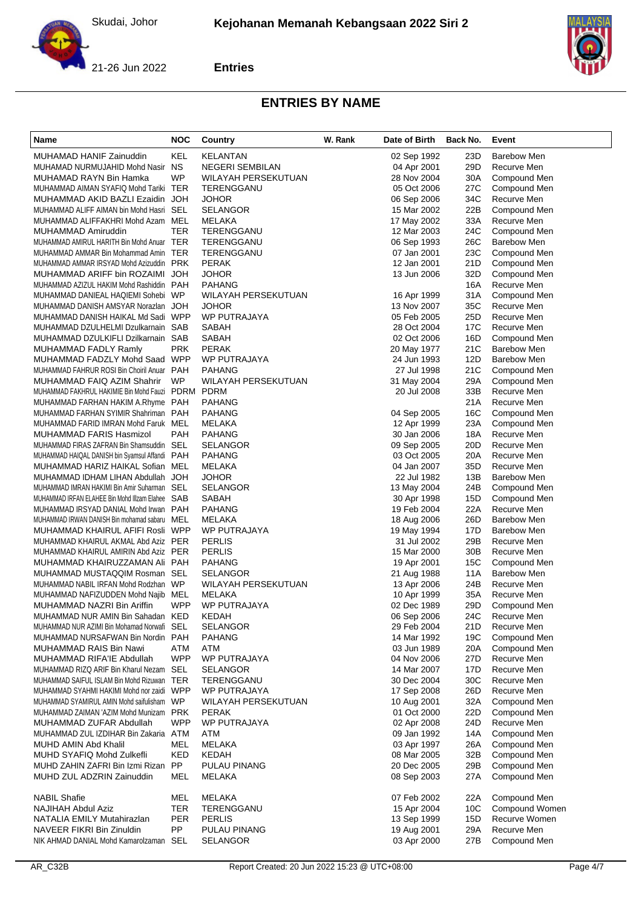

**Entries**



| <b>Name</b>                                                                                     | <b>NOC</b> | Country                    | W. Rank | Date of Birth              | Back No.        | Event                        |
|-------------------------------------------------------------------------------------------------|------------|----------------------------|---------|----------------------------|-----------------|------------------------------|
| MUHAMAD HANIF Zainuddin                                                                         | KEL        | <b>KELANTAN</b>            |         | 02 Sep 1992                | 23D             | <b>Barebow Men</b>           |
| MUHAMAD NURMUJAHID Mohd Nasir NS                                                                |            | <b>NEGERI SEMBILAN</b>     |         | 04 Apr 2001                | 29D             | Recurve Men                  |
| MUHAMAD RAYN Bin Hamka                                                                          | WP         | WILAYAH PERSEKUTUAN        |         | 28 Nov 2004                | 30A             | Compound Men                 |
| MUHAMMAD AIMAN SYAFIQ Mohd Tariki TER                                                           |            | TERENGGANU                 |         | 05 Oct 2006                | 27C             | Compound Men                 |
| MUHAMMAD AKID BAZLI Ezaidin JOH                                                                 |            | JOHOR                      |         | 06 Sep 2006                | 34C             | Recurve Men                  |
| MUHAMMAD ALIFF AIMAN bin Mohd Hasri SEL                                                         |            | <b>SELANGOR</b>            |         | 15 Mar 2002                | 22B             | Compound Men                 |
| MUHAMMAD ALIFFAKHRI Mohd Azam MEL                                                               |            | MELAKA                     |         | 17 May 2002                | 33A             | Recurve Men                  |
| MUHAMMAD Amiruddin                                                                              | <b>TER</b> | TERENGGANU                 |         | 12 Mar 2003                | 24C             | Compound Men                 |
| MUHAMMAD AMIRUL HARITH Bin Mohd Anuar TER                                                       |            | TERENGGANU                 |         | 06 Sep 1993                | 26C             | <b>Barebow Men</b>           |
| MUHAMMAD AMMAR Bin Mohammad Amin TER                                                            |            | TERENGGANU                 |         | 07 Jan 2001                | 23C             | Compound Men                 |
| MUHAMMAD AMMAR IRSYAD Mohd Azizuddin PRK                                                        |            | <b>PERAK</b>               |         | 12 Jan 2001                | 21D             | Compound Men                 |
| MUHAMMAD ARIFF bin ROZAIMI JOH                                                                  |            | JOHOR                      |         | 13 Jun 2006                | 32D             | Compound Men                 |
| MUHAMMAD AZIZUL HAKIM Mohd Rashiddin PAH                                                        |            | <b>PAHANG</b>              |         |                            | 16A             | Recurve Men                  |
| MUHAMMAD DANIEAL HAQIEMI Sohebi WP                                                              |            | WILAYAH PERSEKUTUAN        |         | 16 Apr 1999                | 31A             | Compound Men                 |
| MUHAMMAD DANISH AMSYAR Norazlan JOH                                                             |            | JOHOR                      |         | 13 Nov 2007                | 35C             | Recurve Men                  |
| MUHAMMAD DANISH HAIKAL Md Sadi WPP                                                              |            | WP PUTRAJAYA               |         | 05 Feb 2005                | 25D             | Recurve Men                  |
| MUHAMMAD DZULHELMI Dzulkarnain SAB                                                              |            | SABAH                      |         | 28 Oct 2004                | 17C             | Recurve Men                  |
| MUHAMMAD DZULKIFLI Dzilkarnain SAB                                                              |            | SABAH                      |         | 02 Oct 2006                | 16D             | Compound Men                 |
| MUHAMMAD FADLY Ramly                                                                            | <b>PRK</b> | <b>PERAK</b>               |         | 20 May 1977                | 21C             | <b>Barebow Men</b>           |
| MUHAMMAD FADZLY Mohd Saad WPP                                                                   |            | WP PUTRAJAYA               |         | 24 Jun 1993                | 12D             | <b>Barebow Men</b>           |
| MUHAMMAD FAHRUR ROSI Bin Choiril Anuar PAH                                                      |            | <b>PAHANG</b>              |         | 27 Jul 1998                | 21C             | Compound Men                 |
| MUHAMMAD FAIQ AZIM Shahrir                                                                      | <b>WP</b>  | WILAYAH PERSEKUTUAN        |         | 31 May 2004                | 29A             | Compound Men                 |
| MUHAMMAD FAKHRUL HAKIMIE Bin Mohd Fauzi PDRM PDRM                                               |            |                            |         | 20 Jul 2008                | 33B             | Recurve Men                  |
| MUHAMMAD FARHAN HAKIM A.Rhyme PAH                                                               |            | <b>PAHANG</b>              |         |                            | 21A             | Recurve Men                  |
| MUHAMMAD FARHAN SYIMIR Shahriman PAH                                                            |            | <b>PAHANG</b>              |         | 04 Sep 2005                | 16C             | Compound Men                 |
| MUHAMMAD FARID IMRAN Mohd Faruk MEL                                                             |            | MELAKA                     |         | 12 Apr 1999                | 23A             | Compound Men                 |
| MUHAMMAD FARIS Hasmizol                                                                         | <b>PAH</b> | <b>PAHANG</b>              |         | 30 Jan 2006                | 18A             | Recurve Men                  |
| MUHAMMAD FIRAS ZAFRAN Bin Shamsuddin SEL                                                        |            | SELANGOR                   |         | 09 Sep 2005                | 20D             | Recurve Men                  |
| MUHAMMAD HAIQAL DANISH bin Syamsul Affandi PAH                                                  |            | <b>PAHANG</b>              |         | 03 Oct 2005                | 20A             | Recurve Men                  |
| MUHAMMAD HARIZ HAIKAL Sofian MEL                                                                |            | MELAKA                     |         | 04 Jan 2007                | 35D             | Recurve Men                  |
| MUHAMMAD IDHAM LIHAN Abdullah JOH                                                               |            | JOHOR                      |         | 22 Jul 1982                | 13B<br>24B      | <b>Barebow Men</b>           |
| MUHAMMAD IMRAN HAKIMI Bin Amir Suharman SEL<br>MUHAMMAD IRFAN ELAHEE Bin Mohd Illzam Elahee SAB |            | <b>SELANGOR</b><br>SABAH   |         | 13 May 2004<br>30 Apr 1998 | 15D             | Compound Men<br>Compound Men |
| MUHAMMAD IRSYAD DANIAL Mohd Irwan PAH                                                           |            | <b>PAHANG</b>              |         | 19 Feb 2004                | 22A             | Recurve Men                  |
| MUHAMMAD IRWAN DANISH Bin mohamad sabaru MEL                                                    |            | MELAKA                     |         | 18 Aug 2006                | 26D             | <b>Barebow Men</b>           |
| MUHAMMAD KHAIRUL AFIFI Rosli WPP                                                                |            | WP PUTRAJAYA               |         | 19 May 1994                | 17D             | <b>Barebow Men</b>           |
| MUHAMMAD KHAIRUL AKMAL Abd Aziz PER                                                             |            | <b>PERLIS</b>              |         | 31 Jul 2002                | 29B             | Recurve Men                  |
| MUHAMMAD KHAIRUL AMIRIN Abd Aziz PER                                                            |            | <b>PERLIS</b>              |         | 15 Mar 2000                | 30 <sub>B</sub> | Recurve Men                  |
| MUHAMMAD KHAIRUZZAMAN Ali PAH                                                                   |            | <b>PAHANG</b>              |         | 19 Apr 2001                | 15C             | Compound Men                 |
| MUHAMMAD MUSTAQQIM Rosman SEL                                                                   |            | <b>SELANGOR</b>            |         | 21 Aug 1988                | 11A             | <b>Barebow Men</b>           |
| MUHAMMAD NABIL IRFAN Mohd Rodzhan WP                                                            |            | WILAYAH PERSEKUTUAN        |         | 13 Apr 2006                | 24B             | Recurve Men                  |
| MUHAMMAD NAFIZUDDEN Mohd Najib MEL                                                              |            | <b>MELAKA</b>              |         | 10 Apr 1999                | 35A             | Recurve Men                  |
| MUHAMMAD NAZRI Bin Ariffin                                                                      | <b>WPP</b> | <b>WP PUTRAJAYA</b>        |         | 02 Dec 1989                | 29D             | Compound Men                 |
| MUHAMMAD NUR AMIN Bin Sahadan KED                                                               |            | KEDAH                      |         | 06 Sep 2006                | 24C             | Recurve Men                  |
| MUHAMMAD NUR AZIMI Bin Mohamad Norwafi SEL                                                      |            | <b>SELANGOR</b>            |         | 29 Feb 2004                | 21D             | Recurve Men                  |
| MUHAMMAD NURSAFWAN Bin Nordin PAH                                                               |            | <b>PAHANG</b>              |         | 14 Mar 1992                | 19C             | Compound Men                 |
| MUHAMMAD RAIS Bin Nawi                                                                          | ATM        | ATM                        |         | 03 Jun 1989                | 20A             | Compound Men                 |
| MUHAMMAD RIFA'IE Abdullah                                                                       | <b>WPP</b> | WP PUTRAJAYA               |         | 04 Nov 2006                | 27D             | Recurve Men                  |
| MUHAMMAD RIZQ ARIF Bin Kharul Nezam SEL                                                         |            | <b>SELANGOR</b>            |         | 14 Mar 2007                | 17D             | Recurve Men                  |
| MUHAMMAD SAIFUL ISLAM Bin Mohd Rizuwan TER                                                      |            | TERENGGANU                 |         | 30 Dec 2004                | 30C             | Recurve Men                  |
| MUHAMMAD SYAHMI HAKIMI Mohd nor zaidi WPP                                                       |            | WP PUTRAJAYA               |         | 17 Sep 2008                | 26D             | Recurve Men                  |
| MUHAMMAD SYAMIRUL AMIN Mohd saifulisham WP                                                      |            | <b>WILAYAH PERSEKUTUAN</b> |         | 10 Aug 2001                | 32A             | Compound Men                 |
| MUHAMMAD ZAIMAN 'AZIM Mohd Munizam PRK                                                          |            | <b>PERAK</b>               |         | 01 Oct 2000                | 22D             | Compound Men                 |
| MUHAMMAD ZUFAR Abdullah                                                                         | <b>WPP</b> | WP PUTRAJAYA               |         | 02 Apr 2008                | 24D             | Recurve Men                  |
| MUHAMMAD ZUL IZDIHAR Bin Zakaria ATM                                                            |            | <b>ATM</b>                 |         | 09 Jan 1992                | 14A             | Compound Men                 |
| MUHD AMIN Abd Khalil                                                                            | MEL        | MELAKA                     |         | 03 Apr 1997                | 26A             | Compound Men                 |
| MUHD SYAFIQ Mohd Zulkefli                                                                       | <b>KED</b> | KEDAH                      |         | 08 Mar 2005                | 32B             | Compound Men                 |
| MUHD ZAHIN ZAFRI Bin Izmi Rizan PP                                                              |            | PULAU PINANG               |         | 20 Dec 2005                | 29B             | Compound Men                 |
| MUHD ZUL ADZRIN Zainuddin                                                                       | MEL        | MELAKA                     |         | 08 Sep 2003                | 27A             | Compound Men                 |
| <b>NABIL Shafie</b>                                                                             | MEL        | MELAKA                     |         | 07 Feb 2002                | 22A             | Compound Men                 |
| NAJIHAH Abdul Aziz                                                                              | <b>TER</b> | TERENGGANU                 |         | 15 Apr 2004                | 10C             | Compound Women               |
| NATALIA EMILY Mutahirazlan                                                                      | <b>PER</b> | <b>PERLIS</b>              |         | 13 Sep 1999                | 15D             | Recurve Women                |
| NAVEER FIKRI Bin Zinuldin                                                                       | PP         | PULAU PINANG               |         | 19 Aug 2001                | 29A             | Recurve Men                  |
| NIK AHMAD DANIAL Mohd Kamarolzaman SEL                                                          |            | <b>SELANGOR</b>            |         | 03 Apr 2000                | 27B             | Compound Men                 |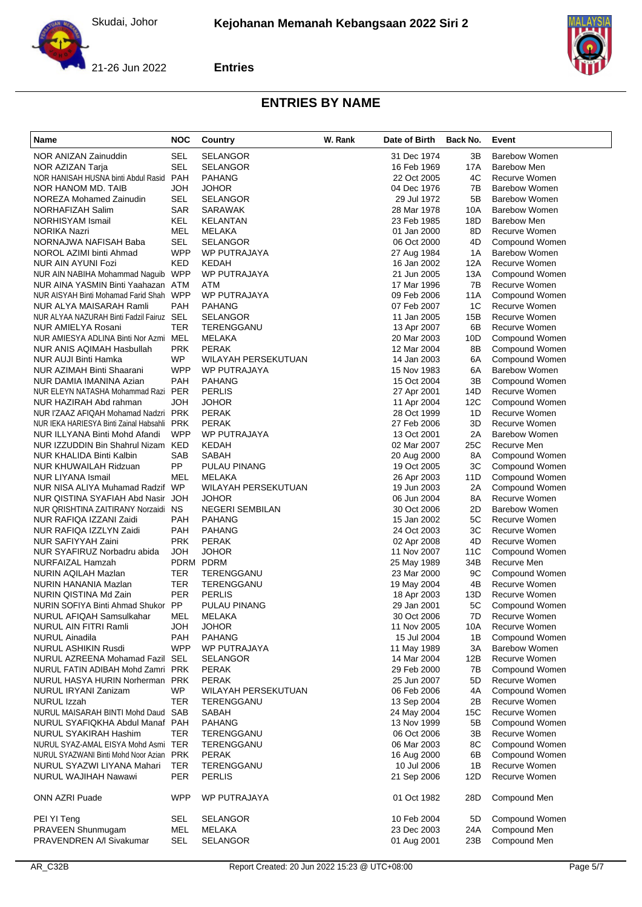





| Name                                                                 | <b>NOC</b>               | Country                       | W. Rank | Date of Birth              | Back No.  | Event                                  |
|----------------------------------------------------------------------|--------------------------|-------------------------------|---------|----------------------------|-----------|----------------------------------------|
| NOR ANIZAN Zainuddin                                                 | SEL                      | <b>SELANGOR</b>               |         | 31 Dec 1974                | 3B        | <b>Barebow Women</b>                   |
| NOR AZIZAN Tarja                                                     | SEL                      | <b>SELANGOR</b>               |         | 16 Feb 1969                | 17A       | <b>Barebow Men</b>                     |
| NOR HANISAH HUSNA binti Abdul Rasid PAH                              |                          | <b>PAHANG</b>                 |         | 22 Oct 2005                | 4C        | Recurve Women                          |
| NOR HANOM MD. TAIB                                                   | HOL                      | <b>JOHOR</b>                  |         | 04 Dec 1976                | 7B        | Barebow Women                          |
| NOREZA Mohamed Zainudin                                              | SEL                      | <b>SELANGOR</b>               |         | 29 Jul 1972                | 5Β        | <b>Barebow Women</b>                   |
| NORHAFIZAH Salim                                                     | <b>SAR</b>               | SARAWAK                       |         | 28 Mar 1978                | 10A       | <b>Barebow Women</b>                   |
| NORHISYAM Ismail                                                     | KEL<br>MEL               | KELANTAN                      |         | 23 Feb 1985                | 18D<br>8D | <b>Barebow Men</b><br>Recurve Women    |
| NORIKA Nazri<br>NORNAJWA NAFISAH Baba                                | <b>SEL</b>               | MELAKA<br><b>SELANGOR</b>     |         | 01 Jan 2000<br>06 Oct 2000 | 4D        | Compound Women                         |
| NOROL AZIMI binti Ahmad                                              | <b>WPP</b>               | WP PUTRAJAYA                  |         | 27 Aug 1984                | 1A        | <b>Barebow Women</b>                   |
| NUR AIN AYUNI Fozi                                                   | KED                      | KEDAH                         |         | 16 Jan 2002                | 12A       | Recurve Women                          |
| NUR AIN NABIHA Mohammad Naguib                                       | <b>WPP</b>               | WP PUTRAJAYA                  |         | 21 Jun 2005                | 13A       | Compound Women                         |
| NUR AINA YASMIN Binti Yaahazan ATM                                   |                          | ATM                           |         | 17 Mar 1996                | 7B        | Recurve Women                          |
| NUR AISYAH Binti Mohamad Farid Shah WPP                              |                          | WP PUTRAJAYA                  |         | 09 Feb 2006                | 11A       | Compound Women                         |
| NUR ALYA MAISARAH Ramli                                              | <b>PAH</b>               | <b>PAHANG</b>                 |         | 07 Feb 2007                | 1C        | Recurve Women                          |
| NUR ALYAA NAZURAH Binti Fadzil Fairuz SEL                            |                          | <b>SELANGOR</b>               |         | 11 Jan 2005                | 15B       | Recurve Women                          |
| NUR AMIELYA Rosani                                                   | TER                      | TERENGGANU                    |         | 13 Apr 2007                | 6B        | Recurve Women                          |
| NUR AMIESYA ADLINA Binti Nor Azmi MEL                                |                          | MELAKA                        |         | 20 Mar 2003                | 10D       | Compound Women                         |
| NUR ANIS AQIMAH Hasbullah                                            | <b>PRK</b>               | <b>PERAK</b>                  |         | 12 Mar 2004                | 8B        | Compound Women                         |
| <b>NUR AUJI Binti Hamka</b>                                          | WP                       | WILAYAH PERSEKUTUAN           |         | 14 Jan 2003                | 6A        | Compound Women                         |
| NUR AZIMAH Binti Shaarani<br>NUR DAMIA IMANINA Azian                 | <b>WPP</b><br><b>PAH</b> | WP PUTRAJAYA<br><b>PAHANG</b> |         | 15 Nov 1983                | 6A<br>3B  | <b>Barebow Women</b><br>Compound Women |
| NUR ELEYN NATASHA Mohammad Razi PER                                  |                          | <b>PERLIS</b>                 |         | 15 Oct 2004<br>27 Apr 2001 | 14D       | Recurve Women                          |
| NUR HAZIRAH Abd rahman                                               | HOL                      | <b>JOHOR</b>                  |         | 11 Apr 2004                | 12C       | Compound Women                         |
| NUR I'ZAAZ AFIQAH Mohamad Nadzri PRK                                 |                          | <b>PERAK</b>                  |         | 28 Oct 1999                | 1D        | Recurve Women                          |
| NUR IEKA HARIESYA Binti Zainal Habsahli PRK                          |                          | <b>PERAK</b>                  |         | 27 Feb 2006                | 3D        | Recurve Women                          |
| NUR ILLYANA Binti Mohd Afandi                                        | <b>WPP</b>               | WP PUTRAJAYA                  |         | 13 Oct 2001                | 2A        | <b>Barebow Women</b>                   |
| NUR IZZUDDIN Bin Shahrul Nizam KED                                   |                          | KEDAH                         |         | 02 Mar 2007                | 25C       | Recurve Men                            |
| NUR KHALIDA Binti Kalbin                                             | SAB                      | SABAH                         |         | 20 Aug 2000                | 8A        | Compound Women                         |
| NUR KHUWAILAH Ridzuan                                                | PP                       | PULAU PINANG                  |         | 19 Oct 2005                | 3C        | Compound Women                         |
| <b>NUR LIYANA Ismail</b>                                             | MEL                      | MELAKA                        |         | 26 Apr 2003                | 11D       | Compound Women                         |
| NUR NISA ALIYA Muhamad Radzif WP                                     |                          | WILAYAH PERSEKUTUAN           |         | 19 Jun 2003                | 2A        | Compound Women                         |
| NUR QISTINA SYAFIAH Abd Nasir JOH                                    |                          | <b>JOHOR</b>                  |         | 06 Jun 2004                | 8A        | Recurve Women                          |
| NUR QRISHTINA ZAITIRANY Norzaidi NS                                  |                          | <b>NEGERI SEMBILAN</b>        |         | 30 Oct 2006                | 2D        | <b>Barebow Women</b>                   |
| NUR RAFIQA IZZANI Zaidi                                              | <b>PAH</b>               | <b>PAHANG</b>                 |         | 15 Jan 2002                | 5C        | Recurve Women                          |
| NUR RAFIQA IZZLYN Zaidi<br>NUR SAFIYYAH Zaini                        | <b>PAH</b><br><b>PRK</b> | <b>PAHANG</b><br><b>PERAK</b> |         | 24 Oct 2003<br>02 Apr 2008 | 3C<br>4D  | Recurve Women<br>Recurve Women         |
| NUR SYAFIRUZ Norbadru abida                                          | <b>HOL</b>               | <b>JOHOR</b>                  |         | 11 Nov 2007                | 11C       | Compound Women                         |
| NURFAIZAL Hamzah                                                     |                          | PDRM PDRM                     |         | 25 May 1989                | 34B       | Recurve Men                            |
| NURIN AQILAH Mazlan                                                  | TER                      | TERENGGANU                    |         | 23 Mar 2000                | 9C        | Compound Women                         |
| NURIN HANANIA Mazlan                                                 | TER                      | TERENGGANU                    |         | 19 May 2004                | 4B        | Recurve Women                          |
| NURIN QISTINA Md Zain                                                | <b>PER</b>               | <b>PERLIS</b>                 |         | 18 Apr 2003                | 13D       | Recurve Women                          |
| NURIN SOFIYA Binti Ahmad Shukor PP                                   |                          | PULAU PINANG                  |         | 29 Jan 2001                | 5C        | Compound Women                         |
| NURUL AFIQAH Samsulkahar                                             | MEL                      | MELAKA                        |         | 30 Oct 2006                | 7D        | Recurve Women                          |
| NURUL AIN FITRI Ramli                                                | <b>HOL</b>               | <b>JOHOR</b>                  |         | 11 Nov 2005                | 10A       | Recurve Women                          |
| <b>NURUL Ainadila</b>                                                | <b>PAH</b>               | <b>PAHANG</b>                 |         | 15 Jul 2004                | 1Β        | Compound Women                         |
| <b>NURUL ASHIKIN Rusdi</b>                                           | <b>WPP</b>               | WP PUTRAJAYA                  |         | 11 May 1989                | ЗA        | <b>Barebow Women</b>                   |
| NURUL AZREENA Mohamad Fazil SEL                                      |                          | <b>SELANGOR</b>               |         | 14 Mar 2004                | 12B       | Recurve Women                          |
| NURUL FATIN ADIBAH Mohd Zamri PRK<br>NURUL HASYA HURIN Norherman PRK |                          | <b>PERAK</b><br><b>PERAK</b>  |         | 29 Feb 2000<br>25 Jun 2007 | 7В<br>5D  | Compound Women<br>Recurve Women        |
| NURUL IRYANI Zanizam                                                 | WP                       | WILAYAH PERSEKUTUAN           |         | 06 Feb 2006                | 4А        | Compound Women                         |
| NURUL Izzah                                                          | TER                      | TERENGGANU                    |         | 13 Sep 2004                | 2Β        | Recurve Women                          |
| NURUL MAISARAH BINTI Mohd Daud SAB                                   |                          | SABAH                         |         | 24 May 2004                | 15C       | Recurve Women                          |
| NURUL SYAFIQKHA Abdul Manaf PAH                                      |                          | <b>PAHANG</b>                 |         | 13 Nov 1999                | 5B        | Compound Women                         |
| NURUL SYAKIRAH Hashim                                                | TER                      | TERENGGANU                    |         | 06 Oct 2006                | 3B        | Recurve Women                          |
| NURUL SYAZ-AMAL EISYA Mohd Asmi TER                                  |                          | TERENGGANU                    |         | 06 Mar 2003                | 8C        | Compound Women                         |
| NURUL SYAZWANI Binti Mohd Noor Azian PRK                             |                          | <b>PERAK</b>                  |         | 16 Aug 2000                | 6В        | Compound Women                         |
| NURUL SYAZWI LIYANA Mahari                                           | TER                      | TERENGGANU                    |         | 10 Jul 2006                | 1B        | Recurve Women                          |
| NURUL WAJIHAH Nawawi                                                 | <b>PER</b>               | <b>PERLIS</b>                 |         | 21 Sep 2006                | 12D       | Recurve Women                          |
| <b>ONN AZRI Puade</b>                                                | <b>WPP</b>               | WP PUTRAJAYA                  |         | 01 Oct 1982                | 28D       | Compound Men                           |
| PEI YI Teng                                                          | <b>SEL</b>               | <b>SELANGOR</b>               |         | 10 Feb 2004                | 5D        | Compound Women                         |
| PRAVEEN Shunmugam                                                    | MEL                      | MELAKA                        |         | 23 Dec 2003                | 24A       | Compound Men                           |
| PRAVENDREN A/I Sivakumar                                             | <b>SEL</b>               | <b>SELANGOR</b>               |         | 01 Aug 2001                | 23B       | Compound Men                           |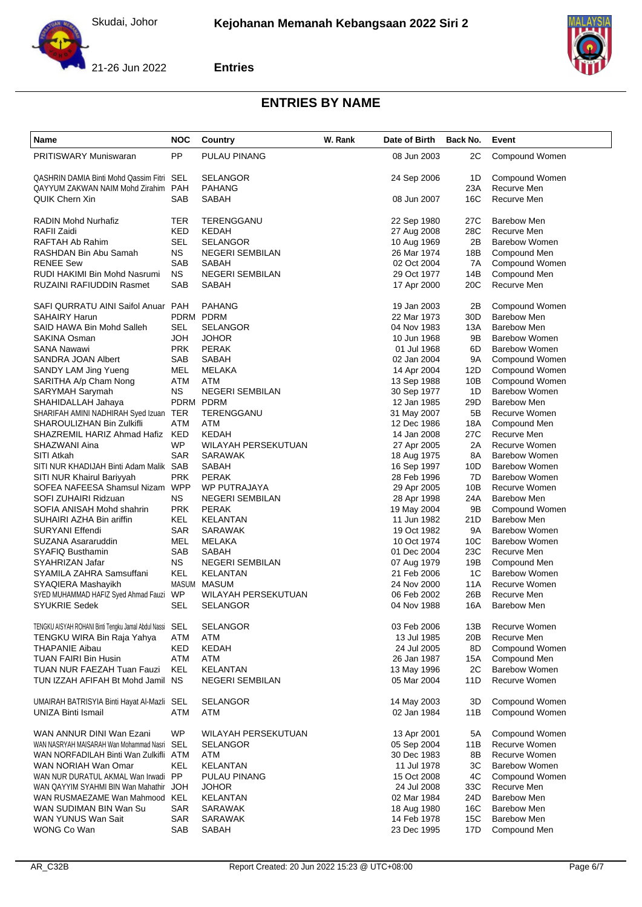



# **Entries**

| Name                                                    | NOC        | Country                | W. Rank | Date of Birth | Back No.        | Event                |
|---------------------------------------------------------|------------|------------------------|---------|---------------|-----------------|----------------------|
| <b>PRITISWARY Muniswaran</b>                            | <b>PP</b>  | PULAU PINANG           |         | 08 Jun 2003   | 2C              | Compound Women       |
| QASHRIN DAMIA Binti Mohd Qassim Fitri SEL               |            | SELANGOR               |         | 24 Sep 2006   | 1D              | Compound Women       |
| QAYYUM ZAKWAN NAIM Mohd Zirahim                         | <b>PAH</b> | PAHANG                 |         |               | 23A             | Recurve Men          |
| <b>QUIK Chern Xin</b>                                   | SAB        | SABAH                  |         | 08 Jun 2007   | 16C             | Recurve Men          |
| RADIN Mohd Nurhafiz                                     | TER        | TERENGGANU             |         | 22 Sep 1980   | 27C             | <b>Barebow Men</b>   |
| RAFII Zaidi                                             | KED        | KEDAH                  |         | 27 Aug 2008   | 28C             | Recurve Men          |
| RAFTAH Ab Rahim                                         | SEL        | <b>SELANGOR</b>        |         | 10 Aug 1969   | 2Β              | <b>Barebow Women</b> |
| RASHDAN Bin Abu Samah                                   | <b>NS</b>  | <b>NEGERI SEMBILAN</b> |         | 26 Mar 1974   | 18B             | Compound Men         |
| <b>RENEE Sew</b>                                        | SAB        | SABAH                  |         | 02 Oct 2004   | 7A              | Compound Women       |
| RUDI HAKIMI Bin Mohd Nasrumi                            | <b>NS</b>  | <b>NEGERI SEMBILAN</b> |         | 29 Oct 1977   | 14B             | Compound Men         |
| <b>RUZAINI RAFIUDDIN Rasmet</b>                         | <b>SAB</b> | <b>SABAH</b>           |         | 17 Apr 2000   | 20C             | Recurve Men          |
| SAFI QURRATU AINI Saifol Anuar PAH                      |            | PAHANG                 |         | 19 Jan 2003   | 2Β              | Compound Women       |
| <b>SAHAIRY Harun</b>                                    |            | PDRM PDRM              |         | 22 Mar 1973   | 30 <sub>D</sub> | <b>Barebow Men</b>   |
| SAID HAWA Bin Mohd Salleh                               | SEL        | SELANGOR               |         | 04 Nov 1983   | 13A             | <b>Barebow Men</b>   |
| SAKINA Osman                                            | JOH        | <b>JOHOR</b>           |         | 10 Jun 1968   | 9B              | <b>Barebow Women</b> |
| SANA Nawawi                                             | <b>PRK</b> | <b>PERAK</b>           |         | 01 Jul 1968   | 6D              | <b>Barebow Women</b> |
| SANDRA JOAN Albert                                      | <b>SAB</b> | SABAH                  |         | 02 Jan 2004   | 9Α              | Compound Women       |
| <b>SANDY LAM Jing Yueng</b>                             | MEL        | MELAKA                 |         | 14 Apr 2004   | 12D             | Compound Women       |
| SARITHA A/p Cham Nong                                   | ATM        | <b>ATM</b>             |         | 13 Sep 1988   | 10B             | Compound Women       |
| SARYMAH Sarymah                                         | ΝS         | <b>NEGERI SEMBILAN</b> |         | 30 Sep 1977   | 1D              | <b>Barebow Women</b> |
| SHAHIDALLAH Jahaya                                      |            | PDRM PDRM              |         | 12 Jan 1985   | 29 <sub>D</sub> | Barebow Men          |
| SHARIFAH AMINI NADHIRAH Syed Izuan TER                  |            | TERENGGANU             |         | 31 May 2007   | 5Β              | Recurve Women        |
| <b>SHAROULIZHAN Bin Zulkifli</b>                        | ATM        | ATM                    |         | 12 Dec 1986   | 18A             | Compound Men         |
| SHAZREMIL HARIZ Ahmad Hafiz KED                         |            | <b>KEDAH</b>           |         | 14 Jan 2008   | 27C             | Recurve Men          |
| SHAZWANI Aina                                           | <b>WP</b>  | WILAYAH PERSEKUTUAN    |         | 27 Apr 2005   | 2Α              | Recurve Women        |
| SITI Atkah                                              | <b>SAR</b> | <b>SARAWAK</b>         |         | 18 Aug 1975   | 8A              | <b>Barebow Women</b> |
| SITI NUR KHADIJAH Binti Adam Malik SAB                  |            | SABAH                  |         | 16 Sep 1997   | 10D             | <b>Barebow Women</b> |
| SITI NUR Khairul Bariyyah                               | <b>PRK</b> | <b>PERAK</b>           |         | 28 Feb 1996   | 7D              | <b>Barebow Women</b> |
| SOFEA NAFEESA Shamsul Nizam WPP                         |            | <b>WP PUTRAJAYA</b>    |         | 29 Apr 2005   | 10B             | Recurve Women        |
| SOFI ZUHAIRI Ridzuan                                    | <b>NS</b>  | <b>NEGERI SEMBILAN</b> |         | 28 Apr 1998   | 24A             | Barebow Men          |
| SOFIA ANISAH Mohd shahrin                               | <b>PRK</b> | <b>PERAK</b>           |         | 19 May 2004   | 9Β              | Compound Women       |
| SUHAIRI AZHA Bin ariffin                                | KEL        | KELANTAN               |         | 11 Jun 1982   | 21D             | <b>Barebow Men</b>   |
| <b>SURYANI Effendi</b>                                  | <b>SAR</b> | SARAWAK                |         | 19 Oct 1982   | 9Α              | <b>Barebow Women</b> |
| SUZANA Asararuddin                                      | MEL        | MELAKA                 |         | 10 Oct 1974   | 10 <sub>C</sub> | <b>Barebow Women</b> |
| SYAFIQ Busthamin                                        | SAB        | SABAH                  |         | 01 Dec 2004   | 23C             | Recurve Men          |
| SYAHRIZAN Jafar                                         | <b>NS</b>  | <b>NEGERI SEMBILAN</b> |         | 07 Aug 1979   | 19B             | Compound Men         |
| SYAMILA ZAHRA Samsuffani                                | KEL        | <b>KELANTAN</b>        |         | 21 Feb 2006   | 1C              | <b>Barebow Women</b> |
| SYAQIERA Mashayikh                                      |            | MASUM MASUM            |         | 24 Nov 2000   | 11A             | Recurve Women        |
| SYED MUHAMMAD HAFIZ Syed Ahmad Fauzi WP                 |            | WILAYAH PERSEKUTUAN    |         | 06 Feb 2002   | 26B             | Recurve Men          |
| <b>SYUKRIE Sedek</b>                                    | SEL        | SELANGOR               |         | 04 Nov 1988   | 16A             | <b>Barebow Men</b>   |
| TENGKU AISYAH ROHANI Binti Tengku Jamal Abdul Nassi SEL |            | SELANGOR               |         | 03 Feb 2006   | 13B             | Recurve Women        |
| TENGKU WIRA Bin Raja Yahya                              | ATM        | ATM                    |         | 13 Jul 1985   | 20 <sub>B</sub> | Recurve Men          |
| <b>THAPANIE Aibau</b>                                   | KED        | KEDAH                  |         | 24 Jul 2005   | 8D              | Compound Women       |
| TUAN FAIRI Bin Husin                                    | ATM        | <b>ATM</b>             |         | 26 Jan 1987   | 15A             | Compound Men         |
| <b>TUAN NUR FAEZAH Tuan Fauzi</b>                       | KEL        | KELANTAN               |         | 13 May 1996   | 2C              | <b>Barebow Women</b> |
| TUN IZZAH AFIFAH Bt Mohd Jamil NS                       |            | <b>NEGERI SEMBILAN</b> |         | 05 Mar 2004   | 11D             | Recurve Women        |
| UMAIRAH BATRISYIA Binti Hayat Al-Mazli SEL              |            | <b>SELANGOR</b>        |         | 14 May 2003   | 3D              | Compound Women       |
| <b>UNIZA Binti Ismail</b>                               | ATM        | ATM                    |         | 02 Jan 1984   | 11B             | Compound Women       |
|                                                         |            |                        |         |               |                 |                      |
| WAN ANNUR DINI Wan Ezani                                | <b>WP</b>  | WILAYAH PERSEKUTUAN    |         | 13 Apr 2001   | 5A              | Compound Women       |
| WAN NASRYAH MAISARAH Wan Mohammad Nasri SEL             |            | SELANGOR               |         | 05 Sep 2004   | 11B             | Recurve Women        |
| WAN NORFADILAH Binti Wan Zulkifli ATM                   |            | ATM                    |         | 30 Dec 1983   | 8Β              | Recurve Women        |
| WAN NORIAH Wan Omar                                     | KEL        | <b>KELANTAN</b>        |         | 11 Jul 1978   | ЗC              | <b>Barebow Women</b> |
| WAN NUR DURATUL AKMAL Wan Irwadi PP                     |            | PULAU PINANG           |         | 15 Oct 2008   | 4C              | Compound Women       |
| WAN QAYYIM SYAHMI BIN Wan Mahathir                      | JOH        | JOHOR                  |         | 24 Jul 2008   | 33C             | Recurve Men          |
| WAN RUSMAEZAME Wan Mahmood KEL                          |            | <b>KELANTAN</b>        |         | 02 Mar 1984   | 24D             | <b>Barebow Men</b>   |
| WAN SUDIMAN BIN Wan Su                                  | <b>SAR</b> | SARAWAK                |         | 18 Aug 1980   | 16C             | Barebow Men          |
| WAN YUNUS Wan Sait                                      | SAR        | SARAWAK                |         | 14 Feb 1978   | 15C             | Barebow Men          |
| WONG Co Wan                                             | SAB        | SABAH                  |         | 23 Dec 1995   | 17D             | Compound Men         |
|                                                         |            |                        |         |               |                 |                      |